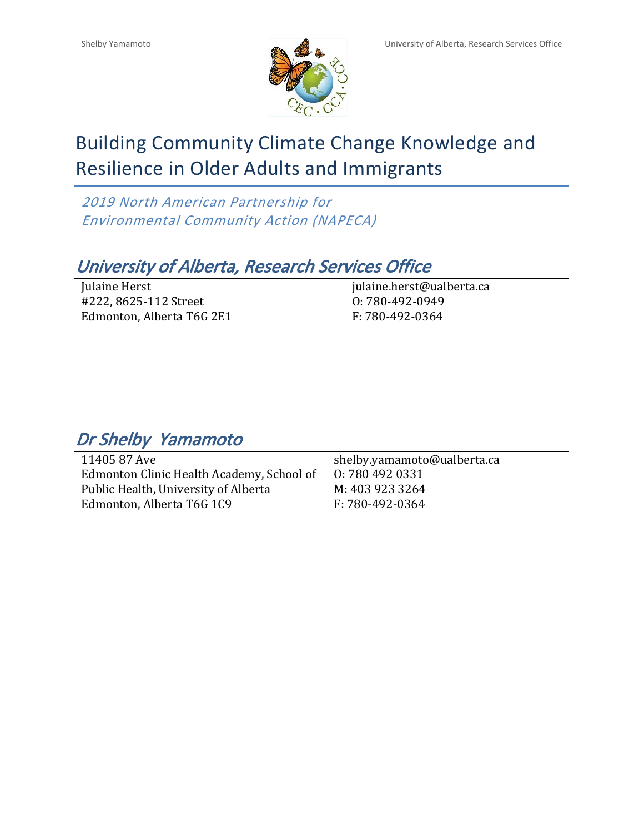

# Building Community Climate Change Knowledge and Resilience in Older Adults and Immigrants

*2019 North American Partnership for Environmental Community Action (NAPECA)*

# *University of Alberta, Research Services Office*

Julaine Herst #222, 8625-112 Street Edmonton, Alberta T6G 2E1 julaine.herst@ualberta.ca O: 780-492-0949 F: 780-492-0364

# *Dr Shelby Yamamoto*

11405 87 Ave Edmonton Clinic Health Academy, School of Public Health, University of Alberta Edmonton, Alberta T6G 1C9

shelby.yamamoto@ualberta.ca O: 780 492 0331 M: 403 923 3264 F: 780-492-0364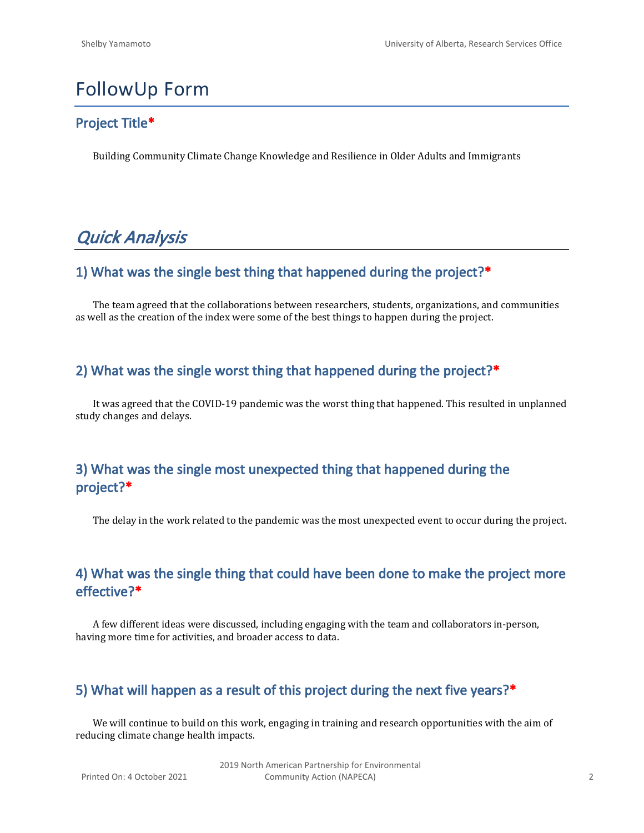# FollowUp Form

#### **Project Title\***

Building Community Climate Change Knowledge and Resilience in Older Adults and Immigrants

# *Quick Analysis*

#### **1) What was the single best thing that happened during the project?\***

The team agreed that the collaborations between researchers, students, organizations, and communities as well as the creation of the index were some of the best things to happen during the project.

#### **2) What was the single worst thing that happened during the project?\***

It was agreed that the COVID-19 pandemic was the worst thing that happened. This resulted in unplanned study changes and delays.

## **3) What was the single most unexpected thing that happened during the project?\***

The delay in the work related to the pandemic was the most unexpected event to occur during the project.

#### **4) What was the single thing that could have been done to make the project more effective?\***

A few different ideas were discussed, including engaging with the team and collaborators in-person, having more time for activities, and broader access to data.

#### **5) What will happen as a result of this project during the next five years?\***

We will continue to build on this work, engaging in training and research opportunities with the aim of reducing climate change health impacts.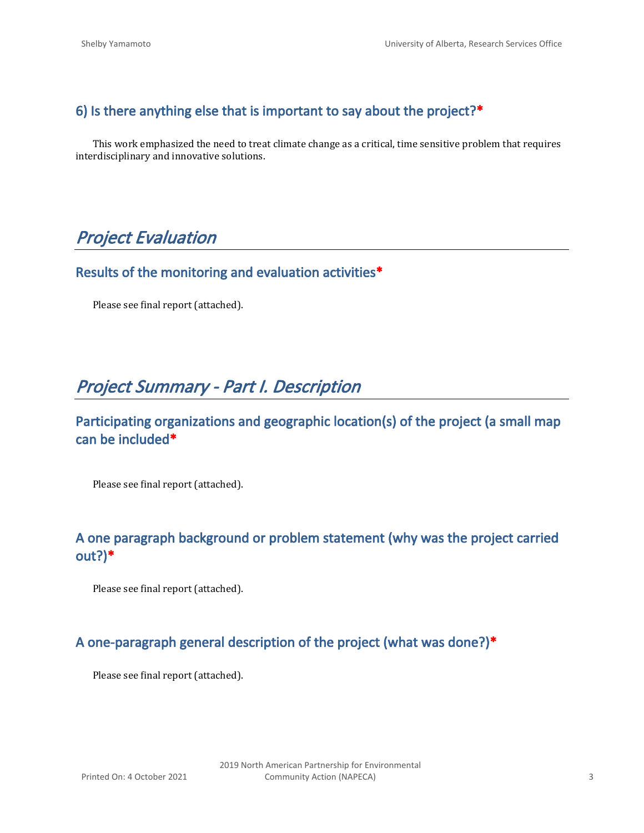# **6) Is there anything else that is important to say about the project?\***

This work emphasized the need to treat climate change as a critical, time sensitive problem that requires interdisciplinary and innovative solutions.

# *Project Evaluation*

#### **Results of the monitoring and evaluation activities\***

Please see final report (attached).

# *Project Summary - Part I. Description*

## **Participating organizations and geographic location(s) of the project (a small map can be included\***

Please see final report (attached).

## **A one paragraph background or problem statement (why was the project carried out?)\***

Please see final report (attached).

## **A one-paragraph general description of the project (what was done?)\***

Please see final report (attached).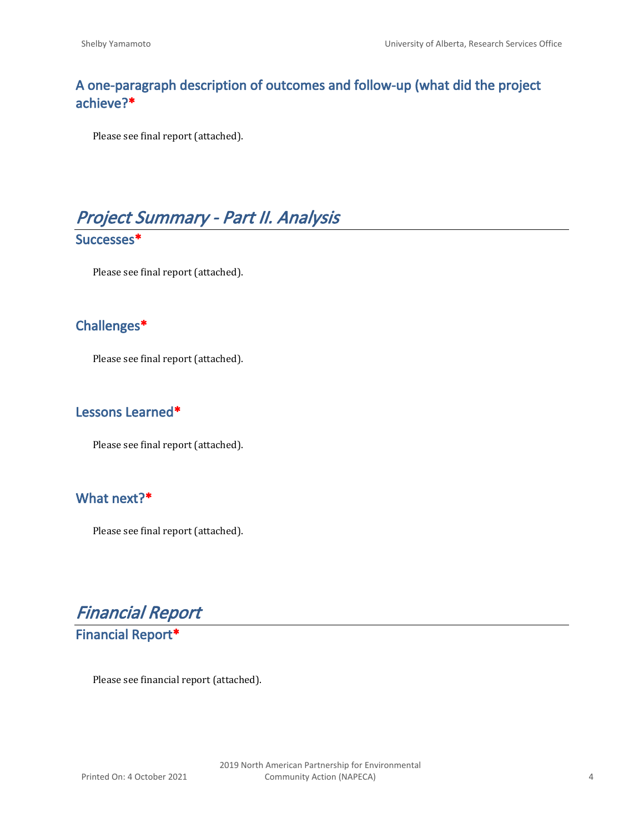## **A one-paragraph description of outcomes and follow-up (what did the project achieve?\***

Please see final report (attached).



Please see final report (attached).

#### **Challenges\***

Please see final report (attached).

#### **Lessons Learned\***

Please see final report (attached).

## **What next?\***

Please see final report (attached).

*Financial Report*

**Financial Report\***

Please see financial report (attached).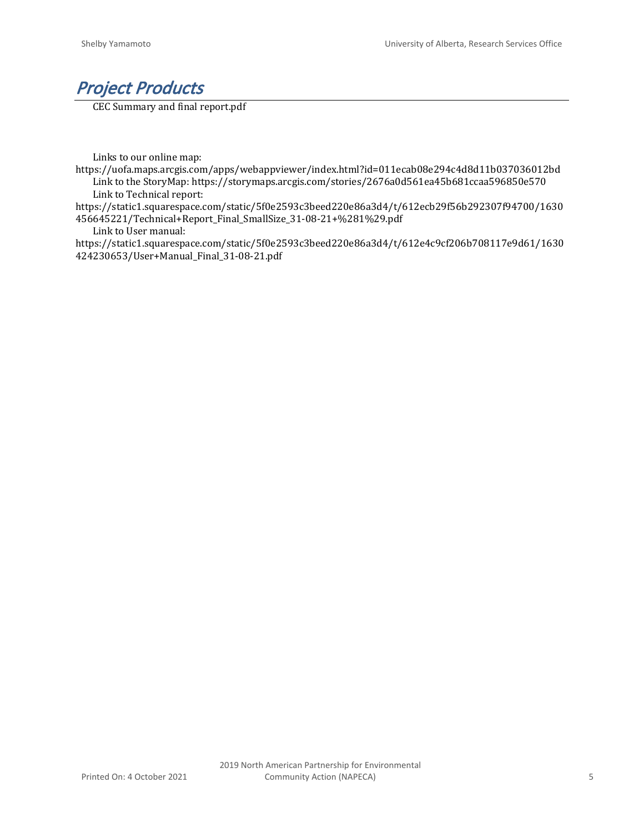

CEC Summary and final report.pdf

Links to our online map:

https://uofa.maps.arcgis.com/apps/webappviewer/index.html?id=011ecab08e294c4d8d11b037036012bd Link to the StoryMap: https://storymaps.arcgis.com/stories/2676a0d561ea45b681ccaa596850e570 Link to Technical report:

https://static1.squarespace.com/static/5f0e2593c3beed220e86a3d4/t/612ecb29f56b292307f94700/1630 456645221/Technical+Report\_Final\_SmallSize\_31-08-21+%281%29.pdf

Link to User manual:

https://static1.squarespace.com/static/5f0e2593c3beed220e86a3d4/t/612e4c9cf206b708117e9d61/1630 424230653/User+Manual\_Final\_31-08-21.pdf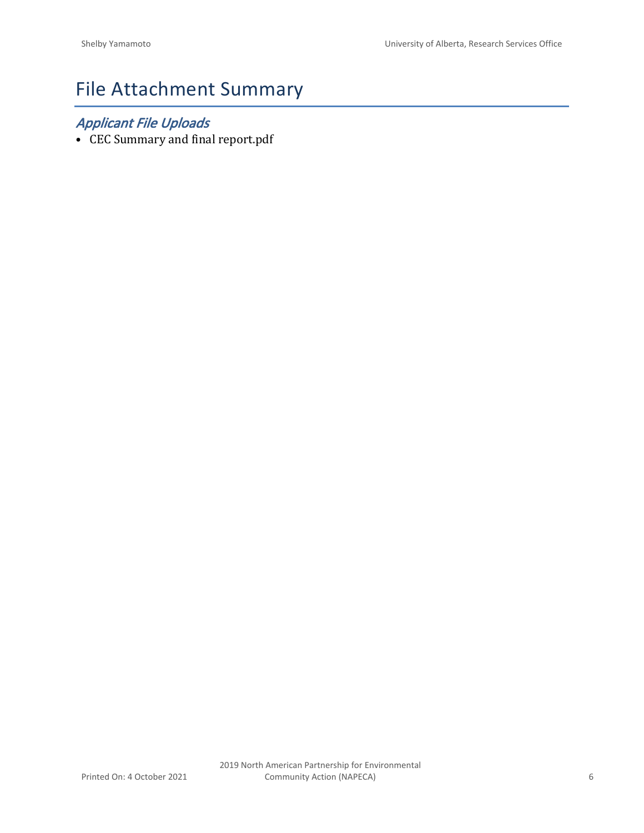# File Attachment Summary

# *Applicant File Uploads*

• CEC Summary and final report.pdf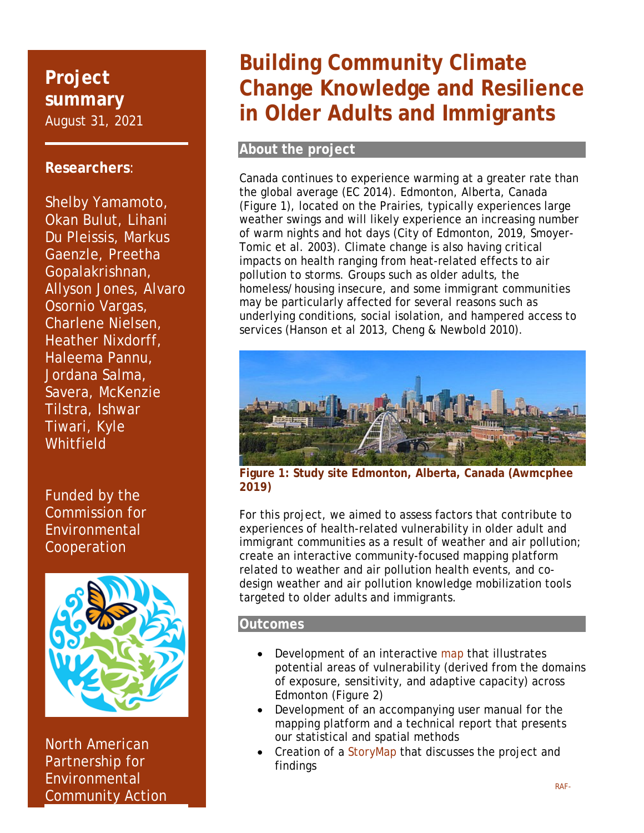# **Project summary**  August 31, 2021

## **Researchers**:

Shelby Yamamoto, Okan Bulut, Lihani Du Pleissis, Markus Gaenzle, Preetha Gopalakrishnan, Allyson Jones, Alvaro Osornio Vargas, Charlene Nielsen, Heather Nixdorff, Haleema Pannu, Jordana Salma, Savera, McKenzie Tilstra, Ishwar Tiwari, Kyle **Whitfield** 

Funded by the Commission for Environmental Cooperation



North American Partnership for **Environmental** Community Action

# **Building Community Climate Change Knowledge and Resilience in Older Adults and Immigrants**

#### **About the project**

Canada continues to experience warming at a greater rate than the global average (EC 2014). Edmonton, Alberta, Canada (Figure 1), located on the Prairies, typically experiences large weather swings and will likely experience an increasing number of warm nights and hot days (City of Edmonton, 2019, Smoyer-Tomic et al. 2003). Climate change is also having critical impacts on health ranging from heat-related effects to air pollution to storms. Groups such as older adults, the homeless/housing insecure, and some immigrant communities may be particularly affected for several reasons such as underlying conditions, social isolation, and hampered access to services (Hanson et al 2013, Cheng & Newbold 2010).



**Figure 1: Study site Edmonton, Alberta, Canada (Awmcphee 2019)** 

For this project, we aimed to assess factors that contribute to experiences of health-related vulnerability in older adult and immigrant communities as a result of weather and air pollution; create an interactive community-focused mapping platform related to weather and air pollution health events, and codesign weather and air pollution knowledge mobilization tools targeted to older adults and immigrants.

#### **Outcomes**

- Development of an interactive map that illustrates potential areas of vulnerability (derived from the domains of exposure, sensitivity, and adaptive capacity) across Edmonton (Figure 2)
- Development of an accompanying user manual for the mapping platform and a technical report that presents our statistical and spatial methods
- Creation of a StoryMap that discusses the project and findings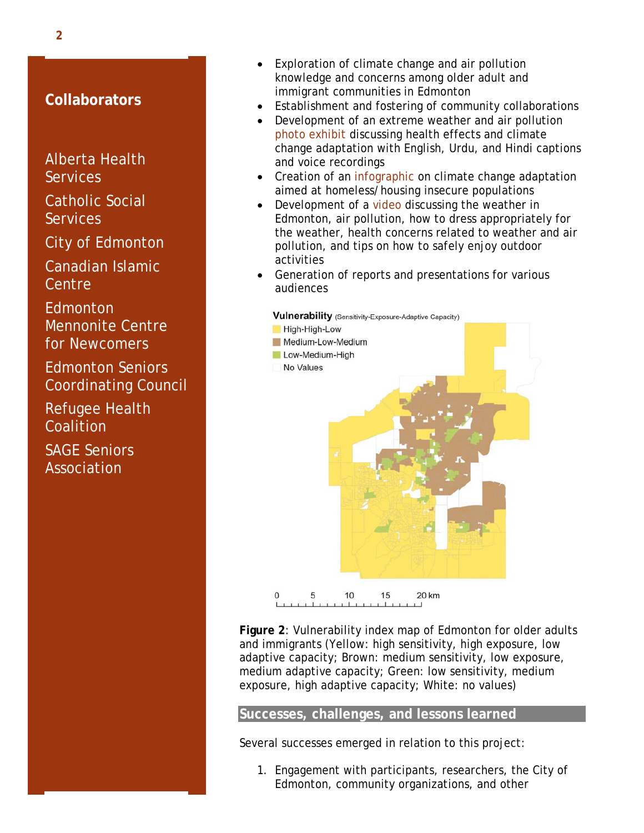#### **Collaborators**

Alberta Health **Services** 

Catholic Social **Services** 

City of Edmonton

Canadian Islamic **Centre** 

**Edmonton** Mennonite Centre for Newcomers

Edmonton Seniors Coordinating Council

Refugee Health **Coalition** 

SAGE Seniors Association

- Exploration of climate change and air pollution knowledge and concerns among older adult and immigrant communities in Edmonton
- Establishment and fostering of community collaborations
- Development of an extreme weather and air pollution photo exhibit discussing health effects and climate change adaptation with English, Urdu, and Hindi captions and voice recordings
- Creation of an infographic on climate change adaptation aimed at homeless/housing insecure populations
- Development of a video discussing the weather in Edmonton, air pollution, how to dress appropriately for the weather, health concerns related to weather and air pollution, and tips on how to safely enjoy outdoor activities
- Generation of reports and presentations for various audiences



**Figure 2**: Vulnerability index map of Edmonton for older adults and immigrants (Yellow: high sensitivity, high exposure, low adaptive capacity; Brown: medium sensitivity, low exposure, medium adaptive capacity; Green: low sensitivity, medium exposure, high adaptive capacity; White: no values)

#### **Successes, challenges, and lessons learned**

Several successes emerged in relation to this project:

1. Engagement with participants, researchers, the City of Edmonton, community organizations, and other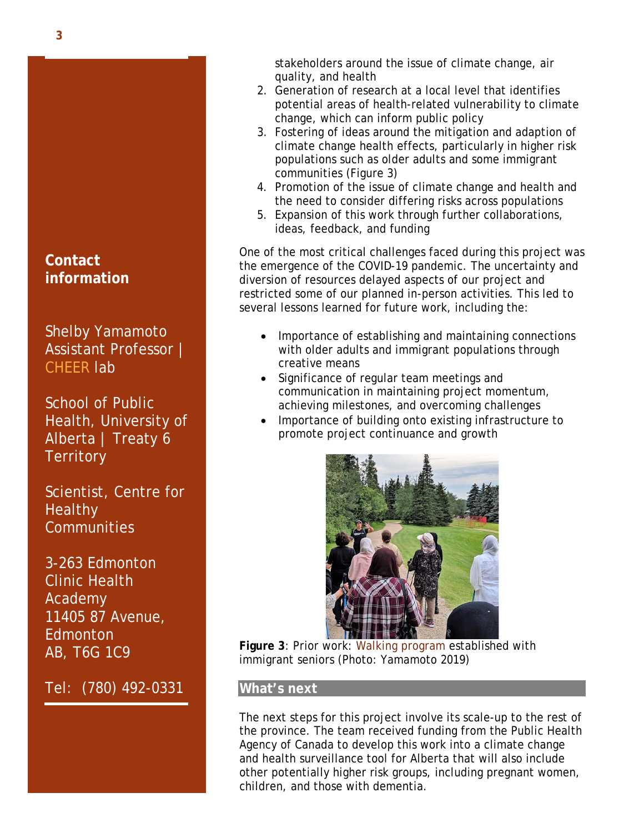# **Contact information**

Shelby Yamamoto Assistant Professor | CHEER lab

School of Public Health, University of Alberta | Treaty 6 **Territory** 

Scientist, Centre for **Healthy Communities** 

3-263 Edmonton Clinic Health Academy 11405 87 Avenue, **Edmonton** AB, T6G 1C9

Tel: (780) 492-0331

stakeholders around the issue of climate change, air quality, and health

- 2. Generation of research at a local level that identifies potential areas of health-related vulnerability to climate change, which can inform public policy
- 3. Fostering of ideas around the mitigation and adaption of climate change health effects, particularly in higher risk populations such as older adults and some immigrant communities (Figure 3)
- 4. Promotion of the issue of climate change and health and the need to consider differing risks across populations
- 5. Expansion of this work through further collaborations, ideas, feedback, and funding

One of the most critical challenges faced during this project was the emergence of the COVID-19 pandemic. The uncertainty and diversion of resources delayed aspects of our project and restricted some of our planned in-person activities. This led to several lessons learned for future work, including the:

- Importance of establishing and maintaining connections with older adults and immigrant populations through creative means
- Significance of regular team meetings and communication in maintaining project momentum, achieving milestones, and overcoming challenges
- Importance of building onto existing infrastructure to promote project continuance and growth



**Figure 3**: Prior work: Walking program established with immigrant seniors (Photo: Yamamoto 2019)

#### **What's next**

The next steps for this project involve its scale-up to the rest of the province. The team received funding from the Public Health Agency of Canada to develop this work into a climate change and health surveillance tool for Alberta that will also include other potentially higher risk groups, including pregnant women, children, and those with dementia.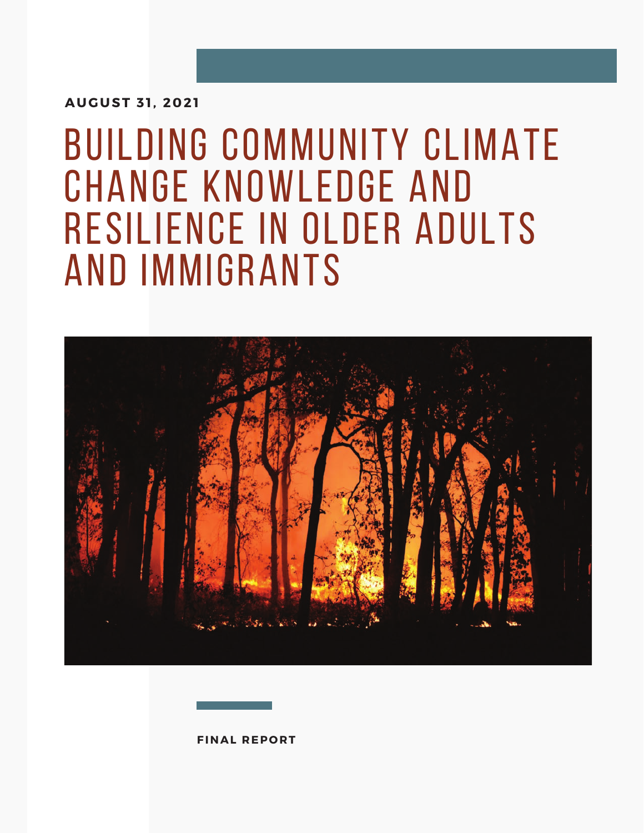**AUGUST 31, 2021**

# Building Community Climate Change Knowledge and Resilience in Older Adults and Immigrants



**FINAL REPORT**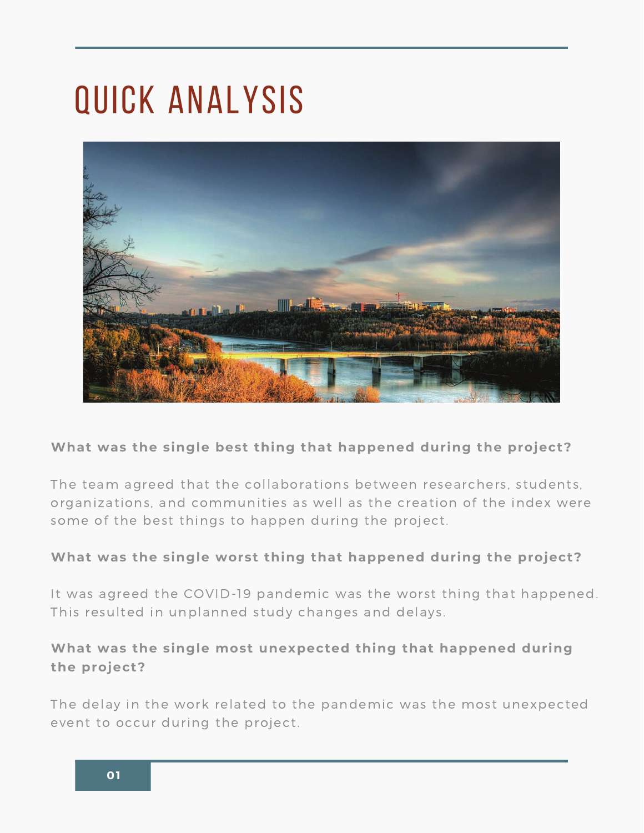# Quick analysis



## **What was the single best thing that happened during the project?**

The team agreed that the conaborations between researchers, students, organizations, and communities as wen as the creation of the muck were some or the best things to nappen during the project.

#### **What was the single worst thing that happened during the project?**

It was agreed the COVID-15 panaerine was the worst thing that happened. rms resurced in umplanned study enanges and delays.

## **What was the single most unexpected thing that happened during the project?**

The actay in the work related to the panaerine was the most anexpected event to occur during the project.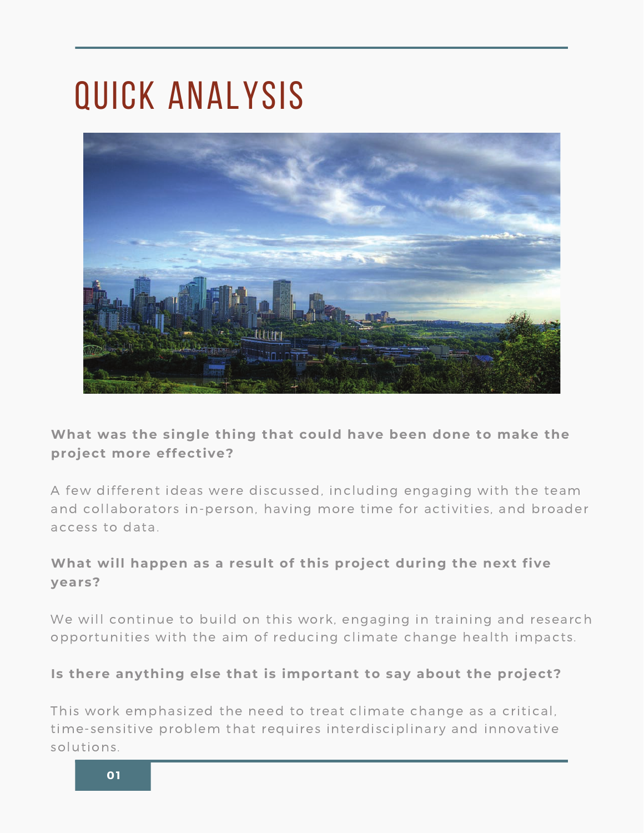# Quick analysis



# **What was the single thing that could have been done to make the project more effective?**

A Tew amerent facas were alsoussed, melaamg engaging with the team and conaborators in person, naving more time for activities, and broader access to data  $\ddot{\phantom{a}}$ 

# **What will happen as a result of this project during the next five years?**

we will continue to build on this work, enga ging in training and research opportunities with the ann or reducing emilate enange nearth impacts.

## **Is there anything else that is important to say about the project?**

This work emphasized the need to treat emmate enange as a entired, enne sensitive problem that requires interalsciplinary and imporative solutions.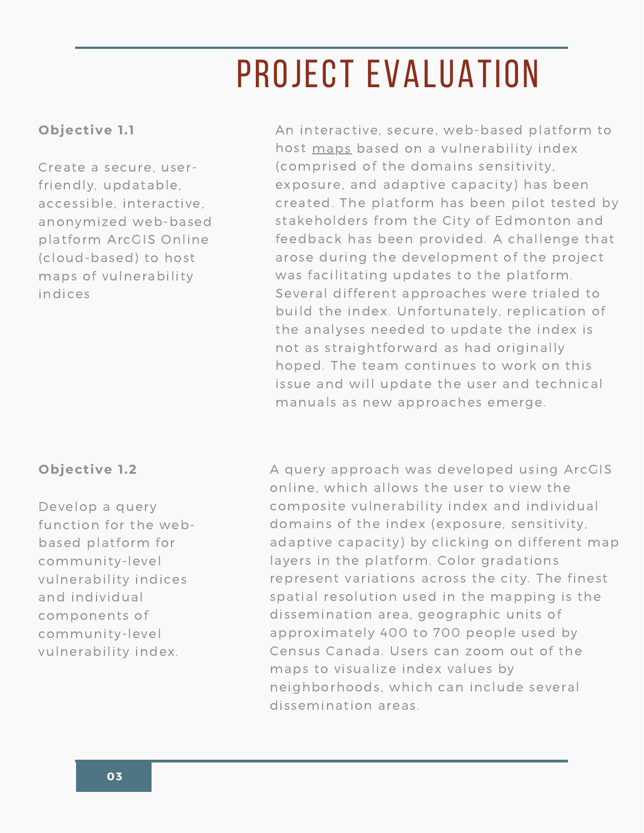# PROJECT EVALUATION

# Objective 1.1

Create a secure, userfriendly, updatable, accessible, interactive, anonymized web-based platform ArcGIS Online (cloud-based) to host maps of vulnerability indices

## Objective 1.2

Develop a query function for the webbased platform for community-level vulnerability indices and individual components of community-level vulnerability index.

An interactive, secure, web-based platform to host maps based on a vulnerability index (comprised of the domains sensitivity, exposure, and adaptive capacity) has been created. The platform has been pilot tested by stakeholders from the City of Edmonton and feedback has been provided. A challenge that arose during the development of the project was facilitating updates to the platform. Several different approaches were trialed to build the index. Unfortunately, replication of the analyses needed to update the index is not as straightforward as had originally hoped. The team continues to work on this issue and will update the user and technical manuals as new approaches emerge.

A query approach was developed using ArcGIS online, which allows the user to view the composite vulnerability index and individual domains of the index (exposure, sensitivity, adaptive capacity) by clicking on different map layers in the platform. Color gradations represent variations across the city. The finest spatial resolution used in the mapping is the dissemination area, geographic units of approximately 400 to 700 people used by Census Canada. Users can zoom out of the maps to visualize index values by neighborhoods, which can include several dissemination areas.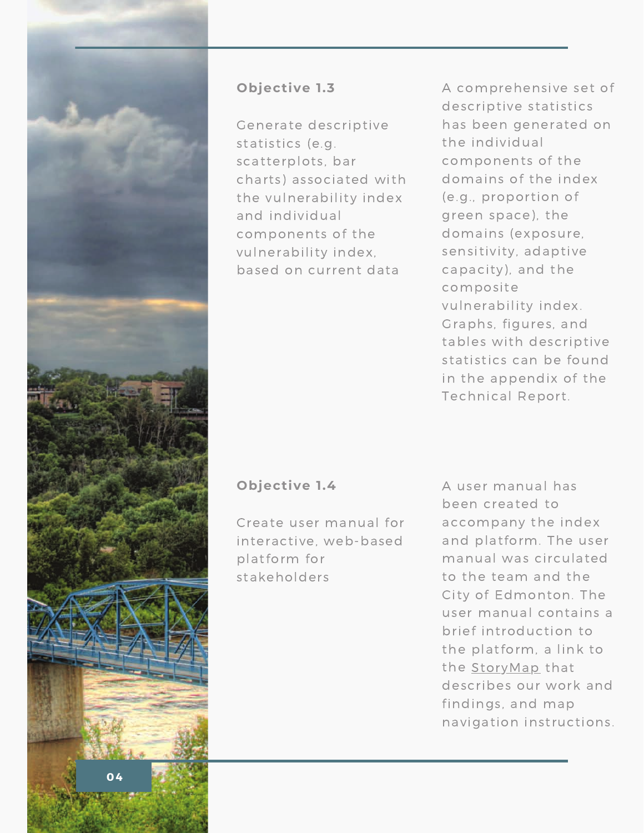

#### Objective 1.3

Generate descriptive statistics (e.g. scatterplots, bar charts) associated with the vulnerability index and individual components of the vulnerability index, based on current data

A comprehensive set of descriptive statistics has been generated on the individual components of the domains of the index (e.g., proportion of green space), the domains (exposure, sensitivity, adaptive capacity), and the composite vulnerability index. Graphs, figures, and tables with descriptive statistics can be found in the appendix of the **Technical Report.** 

## Objective 1.4

Create user manual for interactive, web-based platform for stakeholders

A user manual has been created to accompany the index and platform. The user manual was circulated to the team and the City of Edmonton. The user manual contains a brief introduction to the platform, a link to the StoryMap that describes our work and findings, and map navigation instructions.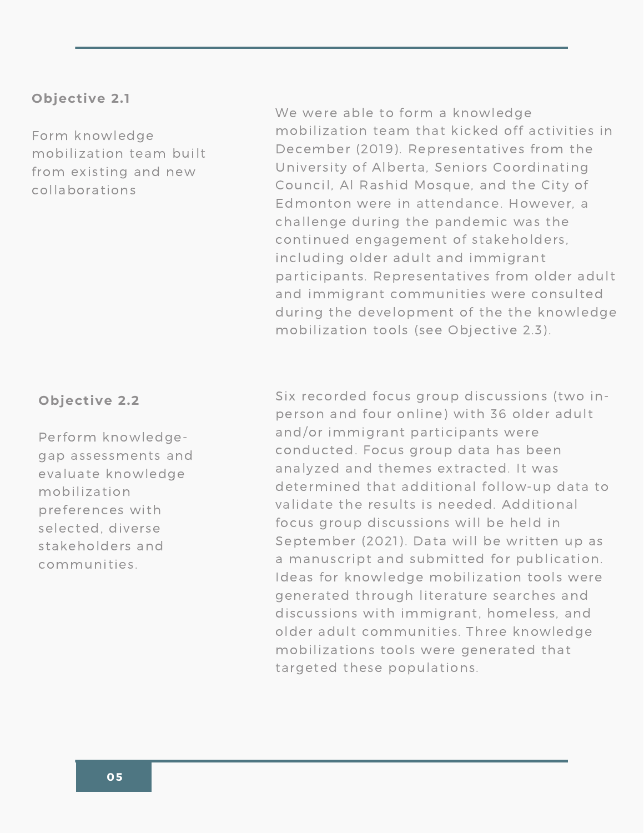#### Objective 2.1

Form knowledge mobilization team built from existing and new collaborations

#### Objective 2.2

Perform knowledgegap assessments and evaluate knowledge mobilization preferences with selected, diverse stakeholders and communities.

We were able to form a knowledge mobilization team that kicked off activities in December (2019). Representatives from the University of Alberta, Seniors Coordinating Council, Al Rashid Mosque, and the City of Edmonton were in attendance. However, a challenge during the pandemic was the continued engagement of stakeholders, including older adult and immigrant participants. Representatives from older adult and immigrant communities were consulted during the development of the the knowledge mobilization tools (see Objective 2.3).

Six recorded focus group discussions (two inperson and four online) with 36 older adult and/or immigrant participants were conducted. Focus group data has been analyzed and themes extracted. It was determined that additional follow-up data to validate the results is needed. Additional focus group discussions will be held in September (2021). Data will be written up as a manuscript and submitted for publication. Ideas for knowledge mobilization tools were generated through literature searches and discussions with immigrant, homeless, and older adult communities. Three knowledge mobilizations tools were generated that targeted these populations.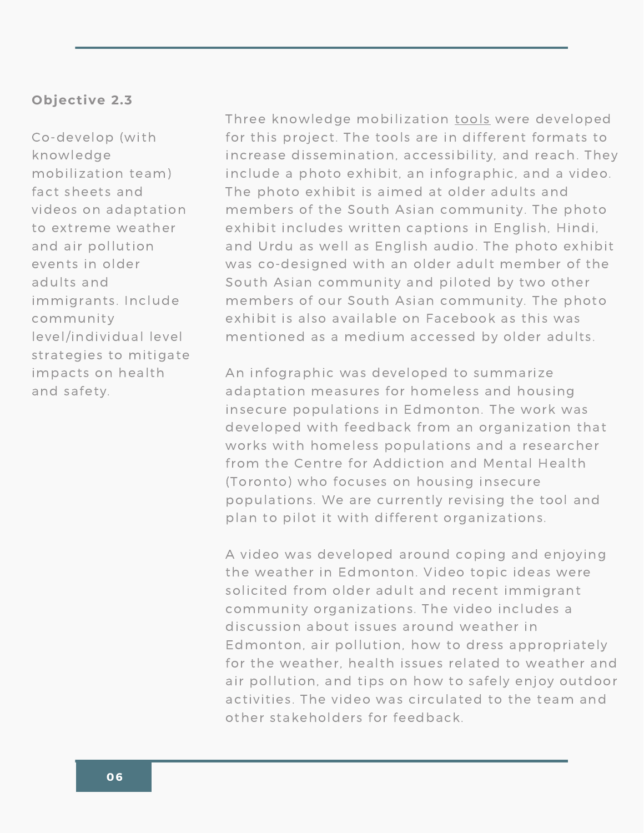#### Objective 2.3

Co-develop (with knowledge mobilization team) fact sheets and videos on adaptation to extreme weather and air pollution events in older adults and immigrants. Include community level/individual level strategies to mitigate impacts on health and safety.

Three knowledge mobilization tools were developed for this project. The tools are in different formats to increase dissemination, accessibility, and reach. They include a photo exhibit, an infographic, and a video. The photo exhibit is aimed at older adults and members of the South Asian community. The photo exhibit includes written captions in English, Hindi, and Urdu as well as English audio. The photo exhibit was co-designed with an older adult member of the South Asian community and piloted by two other members of our South Asian community. The photo exhibit is also available on Facebook as this was mentioned as a medium accessed by older adults.

An infographic was developed to summarize adaptation measures for homeless and housing insecure populations in Edmonton. The work was developed with feedback from an organization that works with homeless populations and a researcher from the Centre for Addiction and Mental Health (Toronto) who focuses on housing insecure populations. We are currently revising the tool and plan to pilot it with different organizations.

A video was developed around coping and enjoying the weather in Edmonton. Video topic ideas were solicited from older adult and recent immigrant community organizations. The video includes a discussion about issues around weather in Edmonton, air pollution, how to dress appropriately for the weather, health issues related to weather and air pollution, and tips on how to safely enjoy outdoor activities. The video was circulated to the team and other stakeholders for feedback.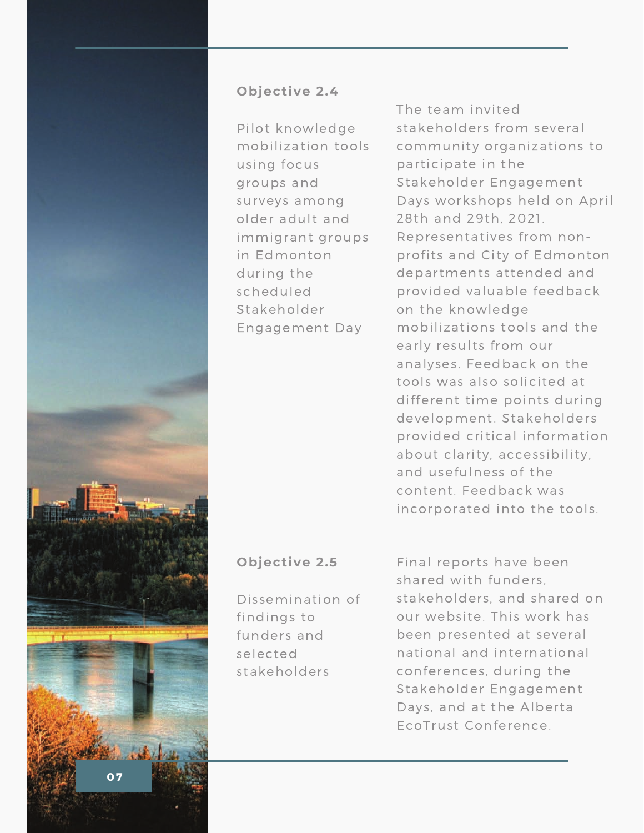

## Objective 2.4

Pilot knowledge mobilization tools using focus groups and surveys among older adult and immigrant groups in Edmonton during the scheduled Stakeholder Engagement Day

The team invited stakeholders from several community organizations to participate in the Stakeholder Engagement Days workshops held on April 28th and 29th. 2021. Representatives from nonprofits and City of Edmonton departments attended and provided valuable feedback on the knowledge mobilizations tools and the early results from our analyses. Feedback on the tools was also solicited at different time points during development. Stakeholders provided critical information about clarity, accessibility, and usefulness of the content. Feedback was incorporated into the tools.

## Objective 2.5

Dissemination of findings to funders and selected stakeholders

Final reports have been shared with funders. stakeholders, and shared on our website. This work has been presented at several national and international conferences, during the Stakeholder Engagement Days, and at the Alberta EcoTrust Conference.